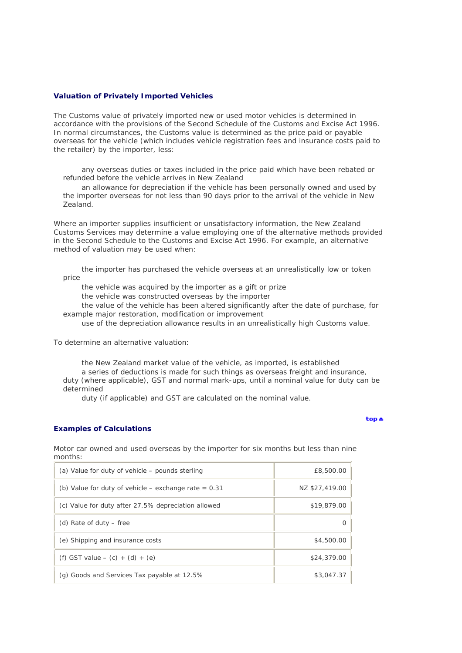### **Valuation of Privately Imported Vehicles**

The Customs value of privately imported new or used motor vehicles is determined in accordance with the provisions of the Second Schedule of the Customs and Excise Act 1996. In normal circumstances, the Customs value is determined as the price paid or payable overseas for the vehicle (which includes vehicle registration fees and insurance costs paid to the retailer) by the importer, less:

any overseas duties or taxes included in the price paid which have been rebated or refunded before the vehicle arrives in New Zealand

an allowance for depreciation if the vehicle has been personally owned and used by the importer overseas for not less than 90 days prior to the arrival of the vehicle in New Zealand.

Where an importer supplies insufficient or unsatisfactory information, the New Zealand Customs Services may determine a value employing one of the alternative methods provided in the Second Schedule to the Customs and Excise Act 1996. For example, an alternative method of valuation may be used when:

the importer has purchased the vehicle overseas at an unrealistically low or token price

the vehicle was acquired by the importer as a gift or prize

the vehicle was constructed overseas by the importer

the value of the vehicle has been altered significantly after the date of purchase, for example major restoration, modification or improvement

use of the depreciation allowance results in an unrealistically high Customs value.

To determine an alternative valuation:

the New Zealand market value of the vehicle, as imported, is established a series of deductions is made for such things as overseas freight and insurance, duty (where applicable), GST and normal mark-ups, until a nominal value for duty can be determined

duty (if applicable) and GST are calculated on the nominal value.

## **Examples of Calculations**

ton A

Motor car owned and used overseas by the importer for six months but less than nine months:

| (a) Value for duty of vehicle – pounds sterling        | £8,500.00      |
|--------------------------------------------------------|----------------|
| (b) Value for duty of vehicle – exchange rate $= 0.31$ | NZ \$27,419.00 |
| (c) Value for duty after 27.5% depreciation allowed    | \$19,879.00    |
| (d) Rate of duty $-$ free                              | O              |
| (e) Shipping and insurance costs                       | \$4,500.00     |
| (f) GST value $-$ (c) $+$ (d) $+$ (e)                  | \$24,379.00    |
| (g) Goods and Services Tax payable at 12.5%            | \$3,047.37     |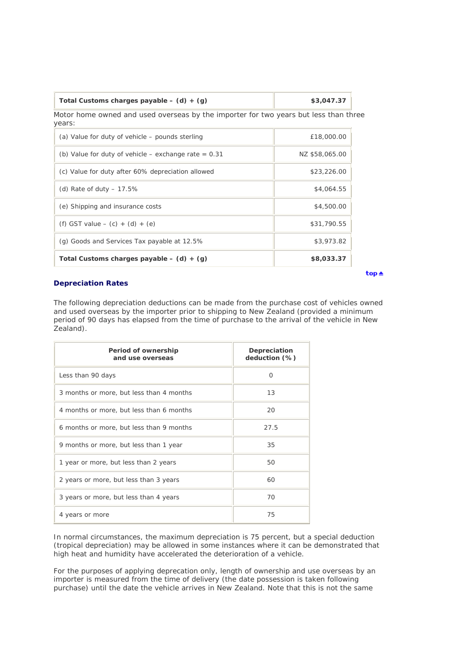| Total Customs charges payable $-$ (d) $+$ (g)                                        | \$3,047.37 |
|--------------------------------------------------------------------------------------|------------|
| Motor home owned and used overseas by the importer for two years but less than three |            |
| years:                                                                               |            |

Т

| (a) Value for duty of vehicle – pounds sterling        | £18,000.00     |
|--------------------------------------------------------|----------------|
| (b) Value for duty of vehicle – exchange rate $= 0.31$ | NZ \$58,065.00 |
| (c) Value for duty after 60% depreciation allowed      | \$23,226.00    |
| (d) Rate of duty $-17.5\%$                             | \$4,064.55     |
| (e) Shipping and insurance costs                       | \$4,500.00     |
| (f) GST value $-$ (c) $+$ (d) $+$ (e)                  | \$31,790.55    |
| (g) Goods and Services Tax payable at 12.5%            | \$3,973.82     |
| Total Customs charges payable $-$ (d) $+$ (g)          | \$8,033.37     |

# **Depreciation Rates**

The following depreciation deductions can be made from the purchase cost of vehicles owned and used overseas by the importer prior to shipping to New Zealand (provided a minimum period of 90 days has elapsed from the time of purchase to the arrival of the vehicle in New Zealand).

| Period of ownership<br>and use overseas  | Depreciation<br>deduction (%) |
|------------------------------------------|-------------------------------|
| Less than 90 days                        | O                             |
| 3 months or more, but less than 4 months | 13                            |
| 4 months or more, but less than 6 months | 20                            |
| 6 months or more, but less than 9 months | 27.5                          |
| 9 months or more, but less than 1 year   | 35                            |
| 1 year or more, but less than 2 years    | 50                            |
| 2 years or more, but less than 3 years   | 60                            |
| 3 years or more, but less than 4 years   | 70                            |
| 4 years or more                          | 75                            |

In normal circumstances, the maximum depreciation is 75 percent, but a special deduction (tropical depreciation) may be allowed in some instances where it can be demonstrated that high heat and humidity have accelerated the deterioration of a vehicle.

For the purposes of applying deprecation only, length of ownership and use overseas by an importer is measured from the time of delivery (the date possession is taken following purchase) until the date the vehicle arrives in New Zealand. Note that this is not the same

 $top \triangleq$